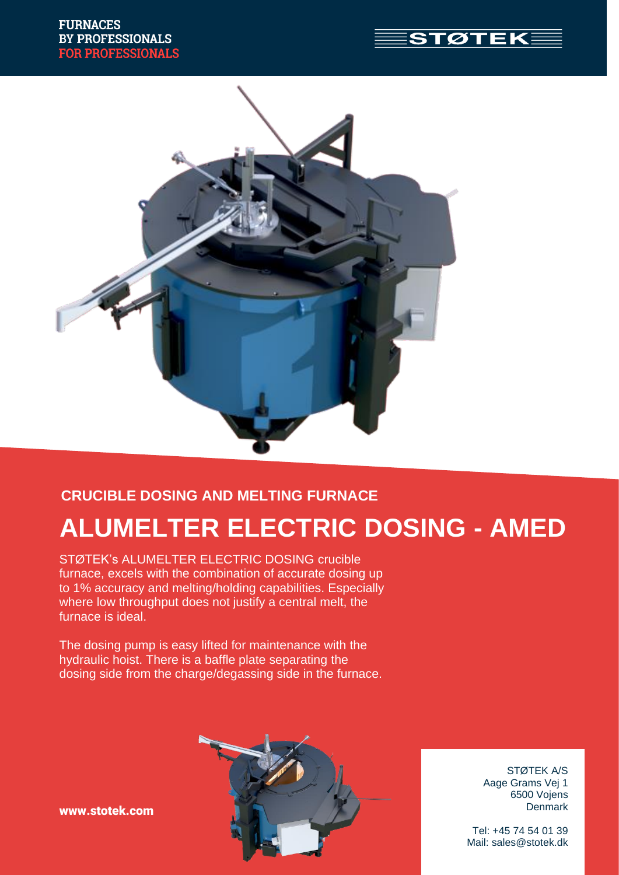



## **CRUCIBLE DOSING AND MELTING FURNACE**

## **ALUMELTER ELECTRIC DOSING - AMED**

STØTEK's ALUMELTER ELECTRIC DOSING crucible furnace, excels with the combination of accurate dosing up to 1% accuracy and melting/holding capabilities. Especially where low throughput does not justify a central melt, the furnace is ideal.

The dosing pump is easy lifted for maintenance with the hydraulic hoist. There is a baffle plate separating the dosing side from the charge/degassing side in the furnace.



www.stotek.com

STØTEK A/S Aage Grams Vej 1 6500 Vojens **Denmark** 

Tel: +45 74 54 01 39 Mail: [sales@stotek.d](mailto:sales@stotek.com)k